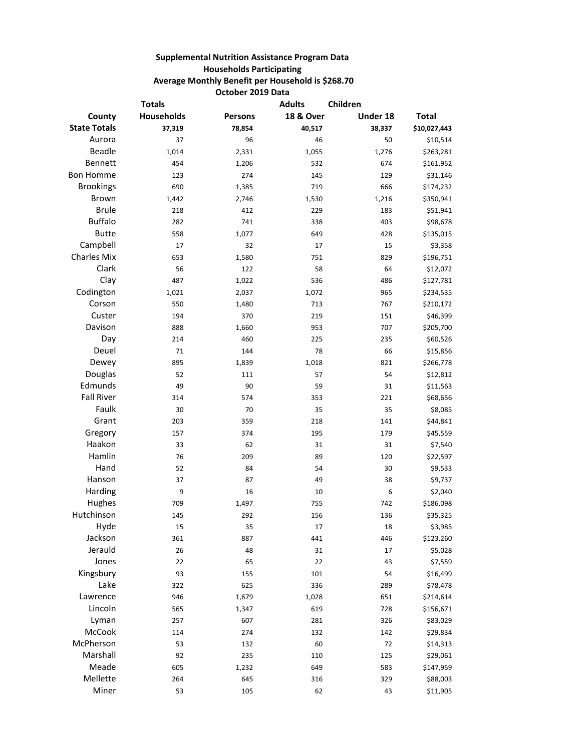## **Supplemental Nutrition Assistance Program Data Households Participating Average Monthly Benefit per Household is \$268.70 October 2019 Data**

| <b>Totals</b>       |                   | <b>Adults</b>  | Children             |          |              |
|---------------------|-------------------|----------------|----------------------|----------|--------------|
| County              | <b>Households</b> | <b>Persons</b> | <b>18 &amp; Over</b> | Under 18 | <b>Total</b> |
| <b>State Totals</b> | 37,319            | 78,854         | 40,517               | 38,337   | \$10,027,443 |
| Aurora              | 37                | 96             | 46                   | 50       | \$10,514     |
| Beadle              | 1,014             | 2,331          | 1,055                | 1,276    | \$263,281    |
| Bennett             | 454               | 1,206          | 532                  | 674      | \$161,952    |
| <b>Bon Homme</b>    | 123               | 274            | 145                  | 129      | \$31,146     |
| <b>Brookings</b>    | 690               | 1,385          | 719                  | 666      | \$174,232    |
| Brown               | 1,442             | 2,746          | 1,530                | 1,216    | \$350,941    |
| <b>Brule</b>        | 218               | 412            | 229                  | 183      | \$51,941     |
| <b>Buffalo</b>      | 282               | 741            | 338                  | 403      | \$98,678     |
| <b>Butte</b>        | 558               | 1,077          | 649                  | 428      | \$135,015    |
| Campbell            | 17                | 32             | 17                   | 15       | \$3,358      |
| <b>Charles Mix</b>  | 653               | 1,580          | 751                  | 829      | \$196,751    |
| Clark               | 56                | 122            | 58                   | 64       | \$12,072     |
| Clay                | 487               | 1,022          | 536                  | 486      | \$127,781    |
| Codington           | 1,021             | 2,037          | 1,072                | 965      | \$234,535    |
| Corson              | 550               | 1,480          | 713                  | 767      | \$210,172    |
| Custer              | 194               | 370            | 219                  | 151      | \$46,399     |
| Davison             | 888               | 1,660          | 953                  | 707      | \$205,700    |
| Day                 | 214               | 460            | 225                  | 235      | \$60,526     |
| Deuel               | 71                | 144            | 78                   | 66       | \$15,856     |
| Dewey               | 895               | 1,839          | 1,018                | 821      | \$266,778    |
| Douglas             | 52                | 111            | 57                   | 54       | \$12,812     |
| Edmunds             | 49                | 90             | 59                   | 31       | \$11,563     |
| <b>Fall River</b>   | 314               | 574            | 353                  | 221      | \$68,656     |
| Faulk               | 30                | 70             | 35                   | 35       | \$8,085      |
| Grant               | 203               | 359            | 218                  | 141      | \$44,841     |
| Gregory             | 157               | 374            | 195                  | 179      | \$45,559     |
| Haakon              | 33                | 62             | 31                   | 31       | \$7,540      |
| Hamlin              | 76                | 209            | 89                   | 120      | \$22,597     |
| Hand                | 52                | 84             | 54                   | 30       | \$9,533      |
| Hanson              | 37                | 87             | 49                   | 38       | \$9,737      |
| Harding             | 9                 | 16             | 10                   | 6        | \$2,040      |
| Hughes              | 709               | 1,497          | 755                  | 742      | \$186,098    |
| Hutchinson          | 145               | 292            | 156                  | 136      | \$35,325     |
| Hyde                | 15                | 35             | 17                   | 18       | \$3,985      |
| Jackson             | 361               | 887            | 441                  | 446      | \$123,260    |
| Jerauld             | 26                | 48             | 31                   | 17       | \$5,028      |
| Jones               | 22                | 65             | 22                   | 43       | \$7,559      |
| Kingsbury           | 93                | 155            | 101                  | 54       | \$16,499     |
| Lake                | 322               | 625            | 336                  | 289      | \$78,478     |
| Lawrence            | 946               | 1,679          | 1,028                | 651      | \$214,614    |
| Lincoln             | 565               | 1,347          | 619                  | 728      | \$156,671    |
| Lyman               | 257               | 607            | 281                  | 326      | \$83,029     |
| McCook              | 114               | 274            | 132                  | 142      | \$29,834     |
| McPherson           | 53                | 132            | 60                   | 72       | \$14,313     |
| Marshall            | 92                | 235            | 110                  | 125      | \$29,061     |
| Meade               | 605               | 1,232          | 649                  | 583      | \$147,959    |
| Mellette            | 264               | 645            | 316                  | 329      | \$88,003     |
| Miner               | 53                | 105            | 62                   | 43       | \$11,905     |
|                     |                   |                |                      |          |              |